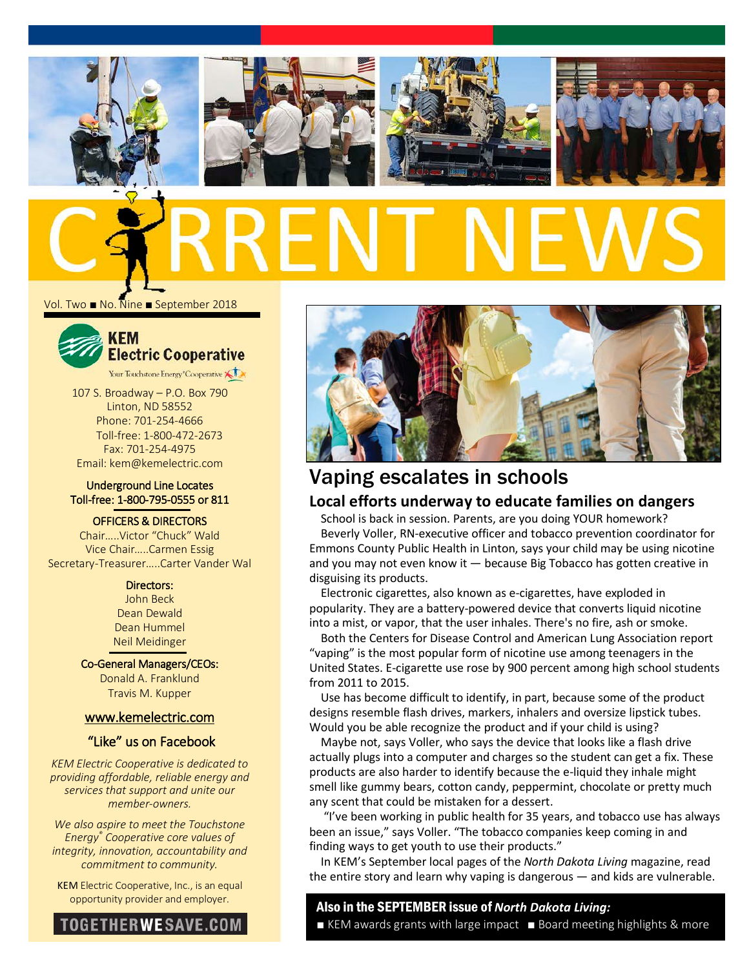







Vol. Two ■ No. Nine ■ September 2018



107 S. Broadway – P.O. Box 790

Linton, ND 58552 Phone: 701-254-4666 Toll-free: 1-800-472-2673 Fax: 701-254-4975 Email: kem@kemelectric.com

### Underground Line Locates Toll-free: 1-800-795-0555 or 811

OFFICERS & DIRECTORS

Chair…..Victor "Chuck" Wald Vice Chair…..Carmen Essig Secretary-Treasurer…..Carter Vander Wal

### Directors:

John Beck Dean Dewald Dean Hummel Neil Meidinger

Co-General Managers/CEOs: Donald A. Franklund Travis M. Kupper

### [www.kemelectric.com](http://www.kemelectric.com/)

### "Like" us on Facebook

*KEM Electric Cooperative is dedicated to providing affordable, reliable energy and services that support and unite our member-owners.*

*We also aspire to meet the Touchstone Energy® Cooperative core values of integrity, innovation, accountability and commitment to community.*

KEM Electric Cooperative, Inc., is an equal





# Vaping escalates in schools

### **Local efforts underway to educate families on dangers**

School is back in session. Parents, are you doing YOUR homework? Beverly Voller, RN-executive officer and tobacco prevention coordinator for Emmons County Public Health in Linton, says your child may be using nicotine and you may not even know it — because Big Tobacco has gotten creative in disguising its products.

Electronic cigarettes, also known as e-cigarettes, have exploded in popularity. They are a battery-powered device that converts liquid nicotine into a mist, or vapor, that the user inhales. There's no fire, ash or smoke.

Both the Centers for Disease Control and American Lung Association report "vaping" is the [most popular](https://www.drugabuse.gov/publications/drugfacts/electronic-cigarettes-e-cigarettes) form of nicotine use among teenagers in the United States. E-cigarette use rose by [900 percent](http://www.lung.org/stop-smoking/smoking-facts/e-cigarettes-and-lung-health.html?referrer=https://www.google.com/) among high school students from 2011 to 2015.

Use has become difficult to identify, in part, because some of the product designs resemble flash drives, markers, inhalers and oversize lipstick tubes. Would you be able recognize the product and if your child is using?

Maybe not, says Voller, who says the device that looks like a flash drive actually plugs into a computer and charges so the student can get a fix. These products are also harder to identify because the e-liquid they inhale might smell like gummy bears, cotton candy, peppermint, chocolate or pretty much any scent that could be mistaken for a dessert.

"I've been working in public health for 35 years, and tobacco use has always been an issue," says Voller. "The tobacco companies keep coming in and finding ways to get youth to use their products."

In KEM's September local pages of the *North Dakota Living* magazine, read the entire story and learn why vaping is dangerous — and kids are vulnerable.

# opportunity provider and employer. Also in the SEPTEMBER issue of *North Dakota Living:*

■ KEM awards grants with large impact ■ Board meeting highlights & more